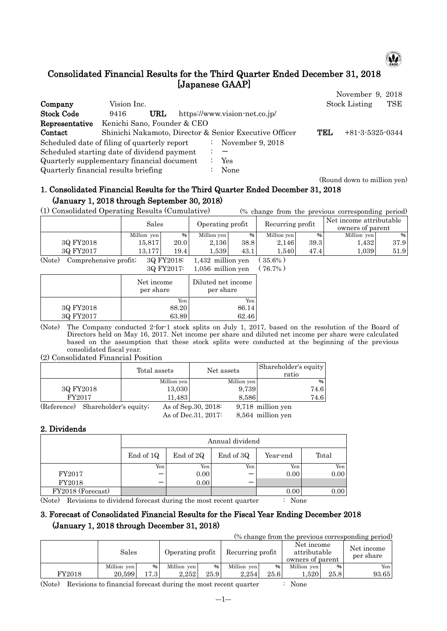

# Consolidated Financial Results for the Third Quarter Ended December 31, 2018 [Japanese GAAP]

|                                              |                             |     |                           |                                                        |     | November 9, 2018            |
|----------------------------------------------|-----------------------------|-----|---------------------------|--------------------------------------------------------|-----|-----------------------------|
| Company                                      | Vision Inc.                 |     |                           |                                                        |     | <b>Stock Listing</b><br>TSE |
| <b>Stock Code</b>                            | 9416                        | URL |                           | https://www.vision-net.co.jp/                          |     |                             |
| Representative                               | Kenichi Sano, Founder & CEO |     |                           |                                                        |     |                             |
| Contact                                      |                             |     |                           | Shinichi Nakamoto, Director & Senior Executive Officer | TEL | $+81-3-5325-0344$           |
| Scheduled date of filing of quarterly report |                             |     | $\mathbb{Z}^{\mathbb{Z}}$ | November 9, 2018                                       |     |                             |
| Scheduled starting date of dividend payment  |                             |     |                           |                                                        |     |                             |
| Quarterly supplementary financial document   |                             |     |                           | Yes                                                    |     |                             |
| Quarterly financial results briefing         |                             |     |                           | None                                                   |     |                             |

#### (Round down to million yen)

# 1. Consolidated Financial Results for the Third Quarter Ended December 31, 2018 (January 1, 2018 through September 30, 2018)

(1) Consolidated Operating Results (Cumulative) (% change from the previous corresponding period)

|                                                                                                   | Sales       |      | Operating profit |      | Recurring profit |      | Net income attributable<br>owners of parent |      |
|---------------------------------------------------------------------------------------------------|-------------|------|------------------|------|------------------|------|---------------------------------------------|------|
|                                                                                                   | Million yen | %    | Million yen      | %    | Million yen      | %    | Million yen                                 | %    |
| 3Q FY2018                                                                                         | 15,817      | 20.0 | 2.136            | 38.8 | 2,146            | 39.3 | .432                                        | 37.9 |
| 3Q FY2017                                                                                         | 13.177      | 19.4 | .539             | 43.1 | 1.540            | 47.4 | 1,039                                       | 51.9 |
| $\sim$ $\sim$ $\sim$<br><b>Contract Contract Contract</b><br>.<br>$\sim$<br>-----------<br>.<br>. |             |      |                  |      |                  |      |                                             |      |

(Note) Comprehensive profit;  $3Q FY2018$ :  $1,432$  million yen  $(35.6\%)$ <br> $3Q FY2017$ :  $1,056$  million yen  $(76.7\%)$  $1,056$  million yen ( 76.7%)

|           | $0.91$ $1.40$ $1.1$     | $1,000$ minion you              |
|-----------|-------------------------|---------------------------------|
|           | Net income<br>per share | Diluted net income<br>per share |
|           | Yen                     | Yen                             |
| 3Q FY2018 | 88.20                   | 86.14                           |
| 3Q FY2017 | 63.89                   | 62.46                           |
|           |                         |                                 |

(Note) The Company conducted 2-for-1 stock splits on July 1, 2017, based on the resolution of the Board of Directors held on May 16, 2017. Net income per share and diluted net income per share were calculated based on the assumption that these stock splits were conducted at the beginning of the previous consolidated fiscal year.

(2) Consolidated Financial Position

|             |                       |        | Total assets | Net assets           |       | Shareholder's equity<br>ratio |
|-------------|-----------------------|--------|--------------|----------------------|-------|-------------------------------|
|             |                       |        | Million yen  | Million yen          |       | %                             |
| 3Q FY2018   |                       | 13,030 |              |                      | 9,739 | 74.6                          |
| FY2017      |                       |        | 11,483       |                      | 8,586 | 74.6                          |
| (Reference) | Shareholder's equity; |        |              | As of Sep. 30, 2018: |       | 9,718 million yen             |
|             |                       |        |              | As of Dec. 31, 2017: |       | 8,564 million yen             |

### 2. Dividends

|                   |           | Annual dividend                             |     |                   |      |  |  |  |  |  |  |
|-------------------|-----------|---------------------------------------------|-----|-------------------|------|--|--|--|--|--|--|
|                   | End of 1Q | End of 3Q<br>End of 2Q<br>Total<br>Year-end |     |                   |      |  |  |  |  |  |  |
|                   | Yen       | Yen                                         | Yen | Yen               | Yen  |  |  |  |  |  |  |
| FY2017            |           | 0.00                                        |     | 0.00 <sub>l</sub> | 0.00 |  |  |  |  |  |  |
| FY2018            |           | 0.00                                        |     |                   |      |  |  |  |  |  |  |
| FY2018 (Forecast) |           |                                             |     | 0.00              | 0.00 |  |  |  |  |  |  |

(Note) Revisions to dividend forecast during the most recent quarter : None

## 3. Forecast of Consolidated Financial Results for the Fiscal Year Ending December 2018 (January 1, 2018 through December 31, 2018)

(% change from the previous corresponding period)

|        | Sales       |        | Operating profit |      | Recurring profit |      | Net income<br>attributable<br>owners of parent |      | Net income<br>per share |
|--------|-------------|--------|------------------|------|------------------|------|------------------------------------------------|------|-------------------------|
|        | Million ven | %      | Million yen      | %    | Million yen      | %    | Million yen                                    | $\%$ | Yen                     |
| FY2018 | 20.599      | L7.3 I | 2.252            | 25.9 | 2.254            | 25.6 | .520                                           | 25.8 | 93.65                   |

(Note) Revisions to financial forecast during the most recent quarter : None